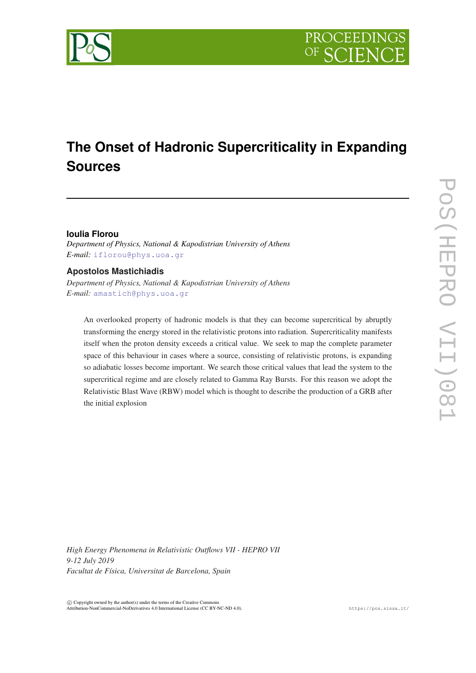

# **The Onset of Hadronic Supercriticality in Expanding Sources**

# **Ioulia Florou**

*Department of Physics, National & Kapodistrian University of Athens E-mail:* [iflorou@phys.uoa.gr](mailto:iflorou@phys.uoa.gr)

# **Apostolos Mastichiadis**

*Department of Physics, National & Kapodistrian University of Athens E-mail:* [amastich@phys.uoa.gr](mailto:amastich@phys.uoa.gr)

An overlooked property of hadronic models is that they can become supercritical by abruptly transforming the energy stored in the relativistic protons into radiation. Supercriticality manifests itself when the proton density exceeds a critical value. We seek to map the complete parameter space of this behaviour in cases where a source, consisting of relativistic protons, is expanding so adiabatic losses become important. We search those critical values that lead the system to the supercritical regime and are closely related to Gamma Ray Bursts. For this reason we adopt the Relativistic Blast Wave (RBW) model which is thought to describe the production of a GRB after the initial explosion

*High Energy Phenomena in Relativistic Outflows VII - HEPRO VII 9-12 July 2019 Facultat de Física, Universitat de Barcelona, Spain*

 $\overline{c}$  Copyright owned by the author(s) under the terms of the Creative Commons Attribution-NonCommercial-NoDerivatives 4.0 International License (CC BY-NC-ND 4.0). https://pos.sissa.it/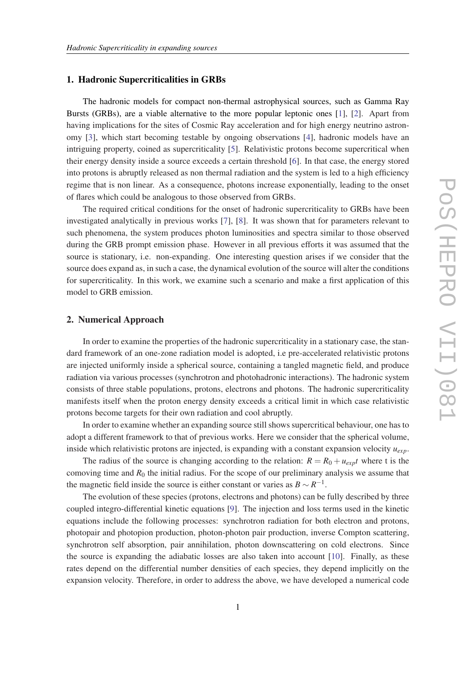### 1. Hadronic Supercriticalities in GRBs

The hadronic models for compact non-thermal astrophysical sources, such as Gamma Ray Bursts (GRBs), are a viable alternative to the more popular leptonic ones [\[1\]](#page-6-0), [[2](#page-6-0)]. Apart from having implications for the sites of Cosmic Ray acceleration and for high energy neutrino astronomy [[3\]](#page-6-0), which start becoming testable by ongoing observations [[4](#page-6-0)], hadronic models have an intriguing property, coined as supercriticality [[5](#page-6-0)]. Relativistic protons become supercritical when their energy density inside a source exceeds a certain threshold [[6\]](#page-6-0). In that case, the energy stored into protons is abruptly released as non thermal radiation and the system is led to a high efficiency regime that is non linear. As a consequence, photons increase exponentially, leading to the onset of flares which could be analogous to those observed from GRBs.

The required critical conditions for the onset of hadronic supercriticality to GRBs have been investigated analytically in previous works [[7](#page-6-0)], [[8](#page-6-0)]. It was shown that for parameters relevant to such phenomena, the system produces photon luminosities and spectra similar to those observed during the GRB prompt emission phase. However in all previous efforts it was assumed that the source is stationary, i.e. non-expanding. One interesting question arises if we consider that the source does expand as, in such a case, the dynamical evolution of the source will alter the conditions for supercriticality. In this work, we examine such a scenario and make a first application of this model to GRB emission.

## 2. Numerical Approach

In order to examine the properties of the hadronic supercriticality in a stationary case, the standard framework of an one-zone radiation model is adopted, i.e pre-accelerated relativistic protons are injected uniformly inside a spherical source, containing a tangled magnetic field, and produce radiation via various processes (synchrotron and photohadronic interactions). The hadronic system consists of three stable populations, protons, electrons and photons. The hadronic supercriticality manifests itself when the proton energy density exceeds a critical limit in which case relativistic protons become targets for their own radiation and cool abruptly.

In order to examine whether an expanding source still shows supercritical behaviour, one has to adopt a different framework to that of previous works. Here we consider that the spherical volume, inside which relativistic protons are injected, is expanding with a constant expansion velocity *uexp*.

The radius of the source is changing according to the relation:  $R = R_0 + u_{exp}t$  where t is the comoving time and  $R_0$  the initial radius. For the scope of our preliminary analysis we assume that the magnetic field inside the source is either constant or varies as  $B \sim R^{-1}$ .

The evolution of these species (protons, electrons and photons) can be fully described by three coupled integro-differential kinetic equations [[9](#page-7-0)]. The injection and loss terms used in the kinetic equations include the following processes: synchrotron radiation for both electron and protons, photopair and photopion production, photon-photon pair production, inverse Compton scattering, synchrotron self absorption, pair annihilation, photon downscattering on cold electrons. Since the source is expanding the adiabatic losses are also taken into account [\[10](#page-7-0)]. Finally, as these rates depend on the differential number densities of each species, they depend implicitly on the expansion velocity. Therefore, in order to address the above, we have developed a numerical code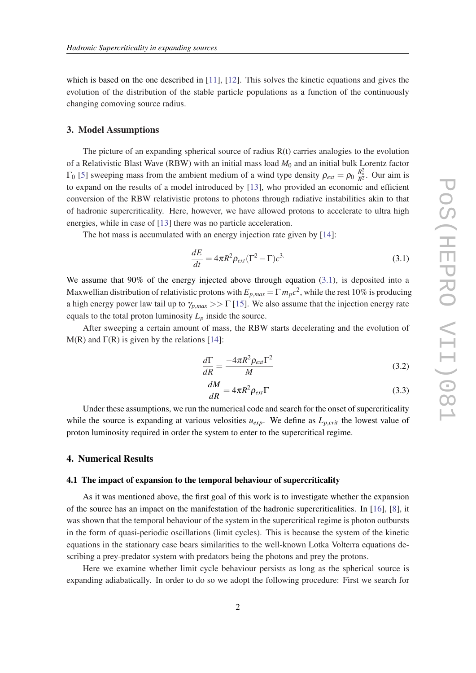<span id="page-2-0"></span>which is based on the one described in [\[11\]](#page-7-0), [\[12](#page-7-0)]. This solves the kinetic equations and gives the evolution of the distribution of the stable particle populations as a function of the continuously changing comoving source radius.

#### 3. Model Assumptions

The picture of an expanding spherical source of radius  $R(t)$  carries analogies to the evolution of a Relativistic Blast Wave (RBW) with an initial mass load  $M_0$  and an initial bulk Lorentz factor  $\Gamma_0$  [\[5\]](#page-6-0) sweeping mass from the ambient medium of a wind type density  $\rho_{ext} = \rho_0 \frac{R_o^2}{R^2}$ . Our aim is to expand on the results of a model introduced by [[13](#page-7-0)], who provided an economic and efficient conversion of the RBW relativistic protons to photons through radiative instabilities akin to that of hadronic supercriticality. Here, however, we have allowed protons to accelerate to ultra high energies, while in case of [\[13\]](#page-7-0) there was no particle acceleration.

The hot mass is accumulated with an energy injection rate given by [[14](#page-7-0)]:

$$
\frac{dE}{dt} = 4\pi R^2 \rho_{ext} (\Gamma^2 - \Gamma) c^3 \tag{3.1}
$$

We assume that 90% of the energy injected above through equation (3.1), is deposited into a Maxwellian distribution of relativistic protons with  $E_{p,max} = \Gamma \, m_p c^2$ , while the rest 10% is producing a high energy power law tail up to  $\gamma_{p,max} >> \Gamma$  [[15](#page-7-0)]. We also assume that the injection energy rate equals to the total proton luminosity  $L_p$  inside the source.

After sweeping a certain amount of mass, the RBW starts decelerating and the evolution of  $M(R)$  and  $\Gamma(R)$  is given by the relations [[14\]](#page-7-0):

$$
\frac{d\Gamma}{dR} = \frac{-4\pi R^2 \rho_{ext} \Gamma^2}{M}
$$
\n(3.2)

$$
\frac{dM}{dR} = 4\pi R^2 \rho_{ext} \Gamma \tag{3.3}
$$

Under these assumptions, we run the numerical code and search for the onset of supercriticality while the source is expanding at various velosities  $u_{exp}$ . We define as  $L_{p,crit}$  the lowest value of proton luminosity required in order the system to enter to the supercritical regime.

## 4. Numerical Results

#### 4.1 The impact of expansion to the temporal behaviour of supercriticality

As it was mentioned above, the first goal of this work is to investigate whether the expansion of the source has an impact on the manifestation of the hadronic supercriticalities. In [[16](#page-7-0)], [[8](#page-6-0)], it was shown that the temporal behaviour of the system in the supercritical regime is photon outbursts in the form of quasi-periodic oscillations (limit cycles). This is because the system of the kinetic equations in the stationary case bears similarities to the well-known Lotka Volterra equations describing a prey-predator system with predators being the photons and prey the protons.

Here we examine whether limit cycle behaviour persists as long as the spherical source is expanding adiabatically. In order to do so we adopt the following procedure: First we search for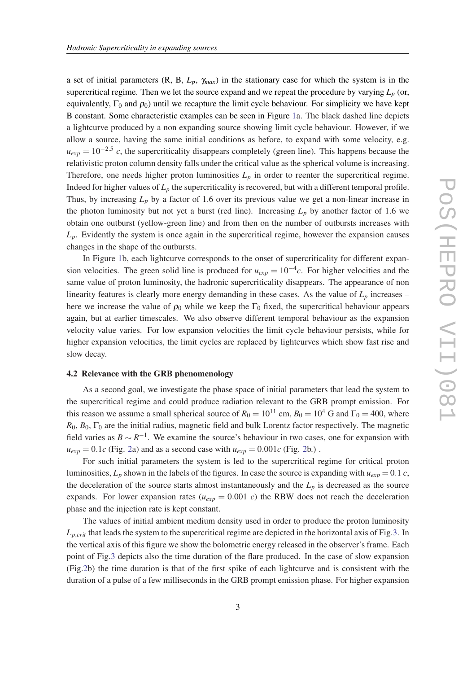<span id="page-3-0"></span>a set of initial parameters  $(R, B, L_p, \gamma_{max})$  in the stationary case for which the system is in the supercritical regime. Then we let the source expand and we repeat the procedure by varying  $L_p$  (or, equivalently,  $\Gamma_0$  and  $\rho_0$ ) until we recapture the limit cycle behaviour. For simplicity we have kept B constant. Some characteristic examples can be seen in Figure [1a](#page-4-0). The black dashed line depicts a lightcurve produced by a non expanding source showing limit cycle behaviour. However, if we allow a source, having the same initial conditions as before, to expand with some velocity, e.g.  $u_{exp} = 10^{-2.5}$  *c*, the supercriticality disappears completely (green line). This happens because the relativistic proton column density falls under the critical value as the spherical volume is increasing. Therefore, one needs higher proton luminosities  $L_p$  in order to reenter the supercritical regime. Indeed for higher values of  $L_p$  the supercriticality is recovered, but with a different temporal profile. Thus, by increasing  $L_p$  by a factor of 1.6 over its previous value we get a non-linear increase in the photon luminosity but not yet a burst (red line). Increasing  $L_p$  by another factor of 1.6 we obtain one outburst (yellow-green line) and from then on the number of outbursts increases with  $L_p$ . Evidently the system is once again in the supercritical regime, however the expansion causes changes in the shape of the outbursts.

In Figure [1](#page-4-0)b, each lightcurve corresponds to the onset of supercriticality for different expansion velocities. The green solid line is produced for  $u_{exp} = 10^{-4}c$ . For higher velocities and the same value of proton luminosity, the hadronic supercriticality disappears. The appearance of non linearity features is clearly more energy demanding in these cases. As the value of  $L_p$  increases – here we increase the value of  $\rho_0$  while we keep the  $\Gamma_0$  fixed, the supercritical behaviour appears again, but at earlier timescales. We also observe different temporal behaviour as the expansion velocity value varies. For low expansion velocities the limit cycle behaviour persists, while for higher expansion velocities, the limit cycles are replaced by lightcurves which show fast rise and slow decay.

### 4.2 Relevance with the GRB phenomenology

As a second goal, we investigate the phase space of initial parameters that lead the system to the supercritical regime and could produce radiation relevant to the GRB prompt emission. For this reason we assume a small spherical source of  $R_0 = 10^{11}$  cm,  $B_0 = 10^4$  G and  $\Gamma_0 = 400$ , where  $R_0, B_0, \Gamma_0$  are the initial radius, magnetic field and bulk Lorentz factor respectively. The magnetic field varies as  $B \sim R^{-1}$ . We examine the source's behaviour in two cases, one for expansion with  $u_{exp} = 0.1c$  (Fig. [2](#page-4-0)a) and as a second case with  $u_{exp} = 0.001c$  (Fig. 2b.).

For such initial parameters the system is led to the supercritical regime for critical proton luminosities,  $L_p$  shown in the labels of the figures. In case the source is expanding with  $u_{exp} = 0.1$  *c*, the deceleration of the source starts almost instantaneously and the  $L_p$  is decreased as the source expands. For lower expansion rates ( $u_{exp} = 0.001$  *c*) the RBW does not reach the deceleration phase and the injection rate is kept constant.

The values of initial ambient medium density used in order to produce the proton luminosity  $L_{p,crit}$  that leads the system to the supercritical regime are depicted in the horizontal axis of Fig[.3.](#page-5-0) In the vertical axis of this figure we show the bolometric energy released in the observer's frame. Each point of Fig.[3](#page-5-0) depicts also the time duration of the flare produced. In the case of slow expansion (Fig[.2b](#page-4-0)) the time duration is that of the first spike of each lightcurve and is consistent with the duration of a pulse of a few milliseconds in the GRB prompt emission phase. For higher expansion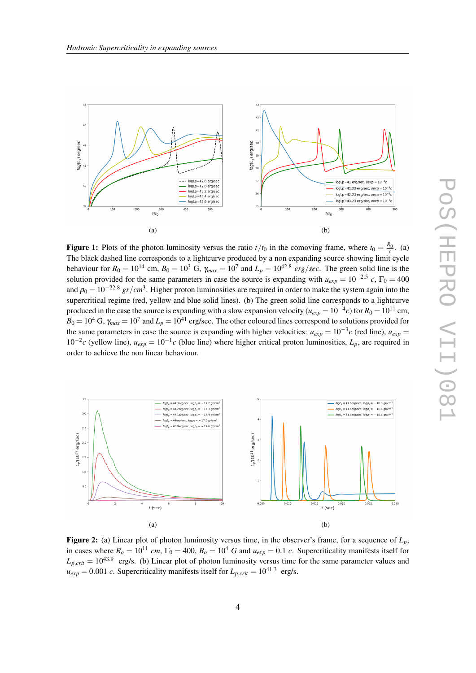<span id="page-4-0"></span>

**Figure 1:** Plots of the photon luminosity versus the ratio  $t/t_0$  in the comoving frame, where  $t_0 = \frac{R_0}{c}$ . (a) The black dashed line corresponds to a lightcurve produced by a non expanding source showing limit cycle behaviour for  $R_0 = 10^{14}$  cm,  $B_0 = 10^3$  G,  $\gamma_{max} = 10^7$  and  $L_p = 10^{42.8}$  erg/sec. The green solid line is the solution provided for the same parameters in case the source is expanding with  $u_{exp} = 10^{-2.5}$  *c*,  $\Gamma_0 = 400$ and  $\rho_0 = 10^{-22.8}$  *gr/cm*<sup>3</sup>. Higher proton luminosities are required in order to make the system again into the supercritical regime (red, yellow and blue solid lines). (b) The green solid line corresponds to a lightcurve produced in the case the source is expanding with a slow expansion velocity ( $u_{exp} = 10^{-4}c$ ) for  $R_0 = 10^{11}$  cm,  $B_0 = 10^4$  G,  $\gamma_{max} = 10^7$  and  $L_p = 10^{41}$  erg/sec. The other coloured lines correspond to solutions provided for the same parameters in case the source is expanding with higher velocities:  $u_{exp} = 10^{-3}c$  (red line),  $u_{exp} =$ 10<sup>-2</sup>c (yellow line),  $u_{exp} = 10^{-1}c$  (blue line) where higher critical proton luminosities,  $L_p$ , are required in order to achieve the non linear behaviour.



Figure 2: (a) Linear plot of photon luminosity versus time, in the observer's frame, for a sequence of *Lp*, in cases where  $R_o = 10^{11}$  *cm*,  $\Gamma_0 = 400$ ,  $B_o = 10^4$  *G* and  $u_{exp} = 0.1$  *c*. Supercriticality manifests itself for  $L_{p,crit} = 10^{43.9}$  erg/s. (b) Linear plot of photon luminosity versus time for the same parameter values and  $u_{exp} = 0.001$  *c*. Supercriticality manifests itself for  $L_{p,crit} = 10^{41.3}$  erg/s.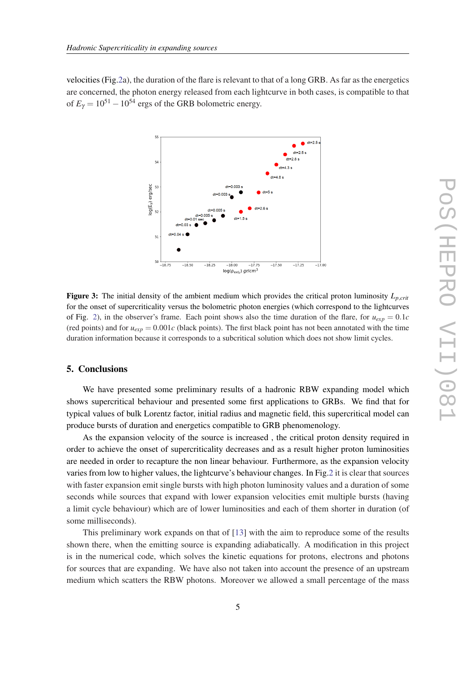<span id="page-5-0"></span>velocities (Fig[.2a](#page-4-0)), the duration of the flare is relevant to that of a long GRB. As far as the energetics are concerned, the photon energy released from each lightcurve in both cases, is compatible to that of  $E_{\gamma} = 10^{51} - 10^{54}$  ergs of the GRB bolometric energy.



**Figure 3:** The initial density of the ambient medium which provides the critical proton luminosity  $L_{\text{p,crit}}$ for the onset of supercriticality versus the bolometric photon energies (which correspond to the lightcurves of Fig. [2](#page-4-0)), in the observer's frame. Each point shows also the time duration of the flare, for  $u_{exp} = 0.1c$ (red points) and for  $u_{exp} = 0.001c$  (black points). The first black point has not been annotated with the time duration information because it corresponds to a subcritical solution which does not show limit cycles.

## 5. Conclusions

We have presented some preliminary results of a hadronic RBW expanding model which shows supercritical behaviour and presented some first applications to GRBs. We find that for typical values of bulk Lorentz factor, initial radius and magnetic field, this supercritical model can produce bursts of duration and energetics compatible to GRB phenomenology.

As the expansion velocity of the source is increased , the critical proton density required in order to achieve the onset of supercriticality decreases and as a result higher proton luminosities are needed in order to recapture the non linear behaviour. Furthermore, as the expansion velocity varies from low to higher values, the lightcurve's behaviour changes. In Fig[.2](#page-4-0) it is clear that sources with faster expansion emit single bursts with high photon luminosity values and a duration of some seconds while sources that expand with lower expansion velocities emit multiple bursts (having a limit cycle behaviour) which are of lower luminosities and each of them shorter in duration (of some milliseconds).

This preliminary work expands on that of [[13\]](#page-7-0) with the aim to reproduce some of the results shown there, when the emitting source is expanding adiabatically. A modification in this project is in the numerical code, which solves the kinetic equations for protons, electrons and photons for sources that are expanding. We have also not taken into account the presence of an upstream medium which scatters the RBW photons. Moreover we allowed a small percentage of the mass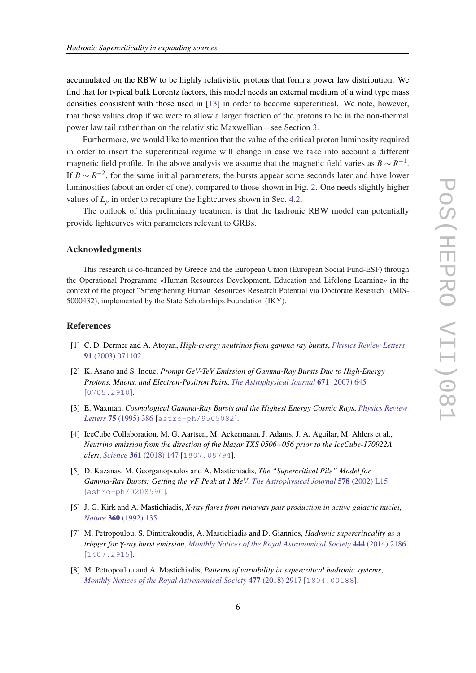<span id="page-6-0"></span>accumulated on the RBW to be highly relativistic protons that form a power law distribution. We find that for typical bulk Lorentz factors, this model needs an external medium of a wind type mass densities consistent with those used in [[13\]](#page-7-0) in order to become supercritical. We note, however, that these values drop if we were to allow a larger fraction of the protons to be in the non-thermal power law tail rather than on the relativistic Maxwellian – see Section [3.](#page-2-0)

Furthermore, we would like to mention that the value of the critical proton luminosity required in order to insert the supercritical regime will change in case we take into account a different magnetic field profile. In the above analysis we assume that the magnetic field varies as  $B \sim R^{-1}$ . If  $B \sim R^{-2}$ , for the same initial parameters, the bursts appear some seconds later and have lower luminosities (about an order of one), compared to those shown in Fig. [2.](#page-4-0) One needs slightly higher values of  $L_p$  in order to recapture the lightcurves shown in Sec. [4.2.](#page-3-0)

The outlook of this preliminary treatment is that the hadronic RBW model can potentially provide lightcurves with parameters relevant to GRBs.

## Acknowledgments

This research is co-financed by Greece and the European Union (European Social Fund-ESF) through the Operational Programme «Human Resources Development, Education and Lifelong Learning» in the context of the project "Strengthening Human Resources Research Potential via Doctorate Research" (MIS-5000432), implemented by the State Scholarships Foundation (IKY).

### References

- [1] C. D. Dermer and A. Atoyan, *High-energy neutrinos from gamma ray bursts*, *[Physics Review Letters](https://doi.org/10.1103/PhysRevLett.91.071102)* 91 [\(2003\) 071102.](https://doi.org/10.1103/PhysRevLett.91.071102)
- [2] K. Asano and S. Inoue, *Prompt GeV-TeV Emission of Gamma-Ray Bursts Due to High-Energy Protons, Muons, and Electron-Positron Pairs*, *[The Astrophysical Journal](https://doi.org/10.1086/522939)* 671 (2007) 645 [[0705.2910](https://arxiv.org/abs/0705.2910)].
- [3] E. Waxman, *Cosmological Gamma-Ray Bursts and the Highest Energy Cosmic Rays*, *[Physics Review](https://doi.org/10.1103/PhysRevLett.75.386) Letters* 75 [\(1995\) 386](https://doi.org/10.1103/PhysRevLett.75.386) [[astro-ph/9505082](https://arxiv.org/abs/astro-ph/9505082)].
- [4] IceCube Collaboration, M. G. Aartsen, M. Ackermann, J. Adams, J. A. Aguilar, M. Ahlers et al., *Neutrino emission from the direction of the blazar TXS 0506+056 prior to the IceCube-170922A alert*, *Science* 361 [\(2018\) 147](https://doi.org/10.1126/science.aat2890) [[1807.08794](https://arxiv.org/abs/1807.08794)].
- [5] D. Kazanas, M. Georganopoulos and A. Mastichiadis, *The "Supercritical Pile" Model for Gamma-Ray Bursts: Getting the* ν*F Peak at 1 MeV*, *[The Astrophysical Journal](https://doi.org/10.1086/344518)* 578 (2002) L15 [[astro-ph/0208590](https://arxiv.org/abs/astro-ph/0208590)].
- [6] J. G. Kirk and A. Mastichiadis, *X-ray flares from runaway pair production in active galactic nuclei*, *Nature* 360 [\(1992\) 135.](https://doi.org/10.1038/360135a0)
- [7] M. Petropoulou, S. Dimitrakoudis, A. Mastichiadis and D. Giannios, *Hadronic supercriticality as a trigger for* γ*-ray burst emission*, *[Monthly Notices of the Royal Astronomical Society](https://doi.org/10.1093/mnras/stu1362)* 444 (2014) 2186 [[1407.2915](https://arxiv.org/abs/1407.2915)].
- [8] M. Petropoulou and A. Mastichiadis, *Patterns of variability in supercritical hadronic systems*, *[Monthly Notices of the Royal Astronomical Society](https://doi.org/10.1093/mnras/sty833)* 477 (2018) 2917 [[1804.00188](https://arxiv.org/abs/1804.00188)].